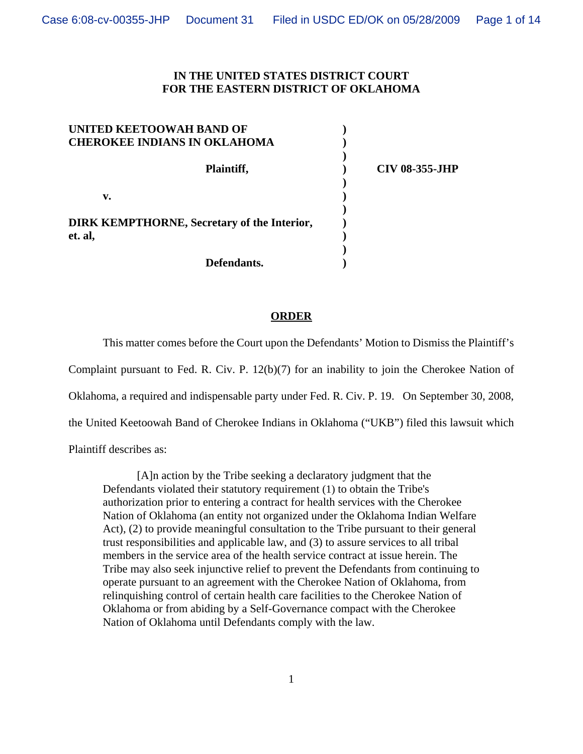## **IN THE UNITED STATES DISTRICT COURT FOR THE EASTERN DISTRICT OF OKLAHOMA**

| UNITED KEETOOWAH BAND OF<br><b>CHEROKEE INDIANS IN OKLAHOMA</b> |                       |
|-----------------------------------------------------------------|-----------------------|
| Plaintiff,                                                      | <b>CIV 08-355-JHP</b> |
| v.                                                              |                       |
| <b>DIRK KEMPTHORNE, Secretary of the Interior,</b>              |                       |
| et. al,<br>Defendants.                                          |                       |

### **ORDER**

This matter comes before the Court upon the Defendants' Motion to Dismiss the Plaintiff's Complaint pursuant to Fed. R. Civ. P. 12(b)(7) for an inability to join the Cherokee Nation of Oklahoma, a required and indispensable party under Fed. R. Civ. P. 19. On September 30, 2008, the United Keetoowah Band of Cherokee Indians in Oklahoma ("UKB") filed this lawsuit which

Plaintiff describes as:

[A]n action by the Tribe seeking a declaratory judgment that the Defendants violated their statutory requirement (1) to obtain the Tribe's authorization prior to entering a contract for health services with the Cherokee Nation of Oklahoma (an entity not organized under the Oklahoma Indian Welfare Act), (2) to provide meaningful consultation to the Tribe pursuant to their general trust responsibilities and applicable law, and (3) to assure services to all tribal members in the service area of the health service contract at issue herein. The Tribe may also seek injunctive relief to prevent the Defendants from continuing to operate pursuant to an agreement with the Cherokee Nation of Oklahoma, from relinquishing control of certain health care facilities to the Cherokee Nation of Oklahoma or from abiding by a Self-Governance compact with the Cherokee Nation of Oklahoma until Defendants comply with the law.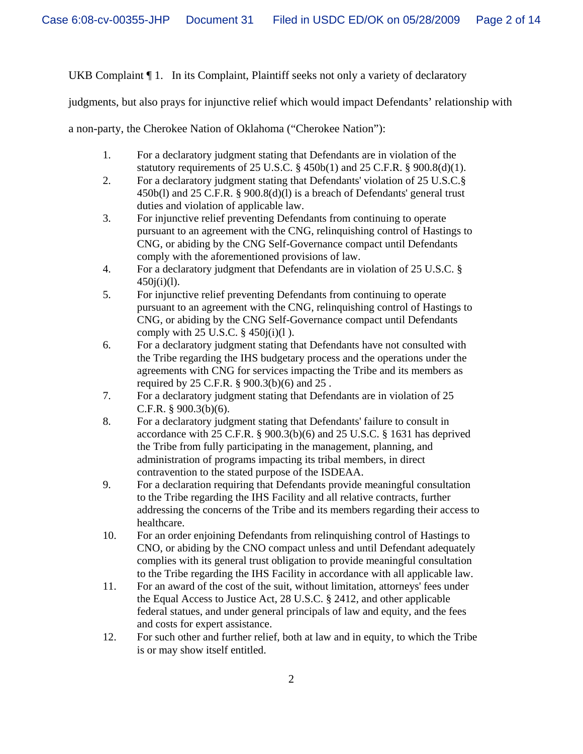UKB Complaint  $\P$  1. In its Complaint, Plaintiff seeks not only a variety of declaratory

judgments, but also prays for injunctive relief which would impact Defendants' relationship with

a non-party, the Cherokee Nation of Oklahoma ("Cherokee Nation"):

- 1. For a declaratory judgment stating that Defendants are in violation of the statutory requirements of 25 U.S.C.  $\S$  450b(1) and 25 C.F.R.  $\S$  900.8(d)(1).
- 2. For a declaratory judgment stating that Defendants' violation of 25 U.S.C.§ 450b(l) and 25 C.F.R. § 900.8(d)(l) is a breach of Defendants' general trust duties and violation of applicable law.
- 3. For injunctive relief preventing Defendants from continuing to operate pursuant to an agreement with the CNG, relinquishing control of Hastings to CNG, or abiding by the CNG Self-Governance compact until Defendants comply with the aforementioned provisions of law.
- 4. For a declaratory judgment that Defendants are in violation of 25 U.S.C. §  $450j(i)(l)$ .
- 5. For injunctive relief preventing Defendants from continuing to operate pursuant to an agreement with the CNG, relinquishing control of Hastings to CNG, or abiding by the CNG Self-Governance compact until Defendants comply with  $25$  U.S.C.  $\S$  450 $j(i)(1)$ .
- 6. For a declaratory judgment stating that Defendants have not consulted with the Tribe regarding the IHS budgetary process and the operations under the agreements with CNG for services impacting the Tribe and its members as required by 25 C.F.R. § 900.3(b)(6) and 25 .
- 7. For a declaratory judgment stating that Defendants are in violation of 25 C.F.R. § 900.3(b)(6).
- 8. For a declaratory judgment stating that Defendants' failure to consult in accordance with 25 C.F.R. § 900.3(b)(6) and 25 U.S.C. § 1631 has deprived the Tribe from fully participating in the management, planning, and administration of programs impacting its tribal members, in direct contravention to the stated purpose of the ISDEAA.
- 9. For a declaration requiring that Defendants provide meaningful consultation to the Tribe regarding the IHS Facility and all relative contracts, further addressing the concerns of the Tribe and its members regarding their access to healthcare.
- 10. For an order enjoining Defendants from relinquishing control of Hastings to CNO, or abiding by the CNO compact unless and until Defendant adequately complies with its general trust obligation to provide meaningful consultation to the Tribe regarding the IHS Facility in accordance with all applicable law.
- 11. For an award of the cost of the suit, without limitation, attorneys' fees under the Equal Access to Justice Act, 28 U.S.C. § 2412, and other applicable federal statues, and under general principals of law and equity, and the fees and costs for expert assistance.
- 12. For such other and further relief, both at law and in equity, to which the Tribe is or may show itself entitled.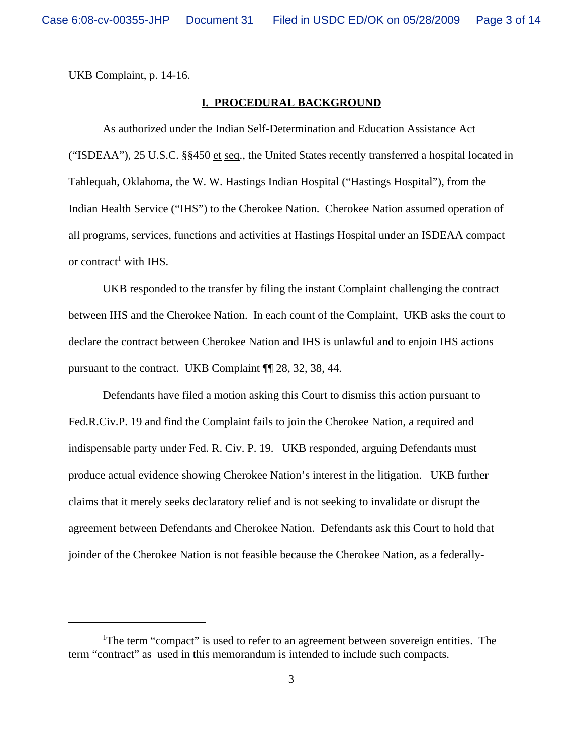UKB Complaint, p. 14-16.

## **I. PROCEDURAL BACKGROUND**

As authorized under the Indian Self-Determination and Education Assistance Act ("ISDEAA"), 25 U.S.C.  $\S$ 450 et seq., the United States recently transferred a hospital located in Tahlequah, Oklahoma, the W. W. Hastings Indian Hospital ("Hastings Hospital"), from the Indian Health Service ("IHS") to the Cherokee Nation. Cherokee Nation assumed operation of all programs, services, functions and activities at Hastings Hospital under an ISDEAA compact or contract<sup>1</sup> with IHS.

UKB responded to the transfer by filing the instant Complaint challenging the contract between IHS and the Cherokee Nation. In each count of the Complaint, UKB asks the court to declare the contract between Cherokee Nation and IHS is unlawful and to enjoin IHS actions pursuant to the contract. UKB Complaint ¶¶ 28, 32, 38, 44.

Defendants have filed a motion asking this Court to dismiss this action pursuant to Fed.R.Civ.P. 19 and find the Complaint fails to join the Cherokee Nation, a required and indispensable party under Fed. R. Civ. P. 19. UKB responded, arguing Defendants must produce actual evidence showing Cherokee Nation's interest in the litigation. UKB further claims that it merely seeks declaratory relief and is not seeking to invalidate or disrupt the agreement between Defendants and Cherokee Nation. Defendants ask this Court to hold that joinder of the Cherokee Nation is not feasible because the Cherokee Nation, as a federally-

<sup>&</sup>lt;sup>1</sup>The term "compact" is used to refer to an agreement between sovereign entities. The term "contract" as used in this memorandum is intended to include such compacts.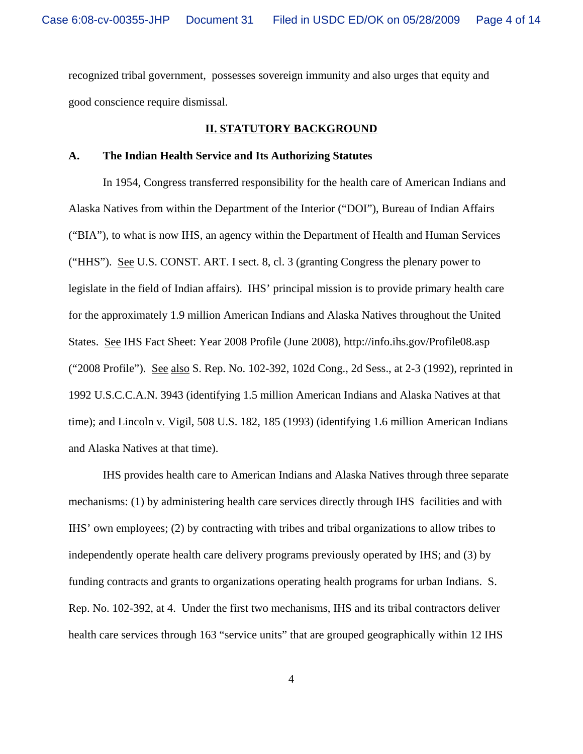recognized tribal government, possesses sovereign immunity and also urges that equity and good conscience require dismissal.

#### **II. STATUTORY BACKGROUND**

#### **A. The Indian Health Service and Its Authorizing Statutes**

In 1954, Congress transferred responsibility for the health care of American Indians and Alaska Natives from within the Department of the Interior ("DOI"), Bureau of Indian Affairs ("BIA"), to what is now IHS, an agency within the Department of Health and Human Services ("HHS"). See U.S. CONST. ART. I sect. 8, cl. 3 (granting Congress the plenary power to legislate in the field of Indian affairs). IHS' principal mission is to provide primary health care for the approximately 1.9 million American Indians and Alaska Natives throughout the United States. See IHS Fact Sheet: Year 2008 Profile (June 2008), http://info.ihs.gov/Profile08.asp ("2008 Profile"). See also S. Rep. No. 102-392, 102d Cong., 2d Sess., at 2-3 (1992), reprinted in 1992 U.S.C.C.A.N. 3943 (identifying 1.5 million American Indians and Alaska Natives at that time); and Lincoln v. Vigil, 508 U.S. 182, 185 (1993) (identifying 1.6 million American Indians and Alaska Natives at that time).

IHS provides health care to American Indians and Alaska Natives through three separate mechanisms: (1) by administering health care services directly through IHS facilities and with IHS' own employees; (2) by contracting with tribes and tribal organizations to allow tribes to independently operate health care delivery programs previously operated by IHS; and (3) by funding contracts and grants to organizations operating health programs for urban Indians. S. Rep. No. 102-392, at 4. Under the first two mechanisms, IHS and its tribal contractors deliver health care services through 163 "service units" that are grouped geographically within 12 IHS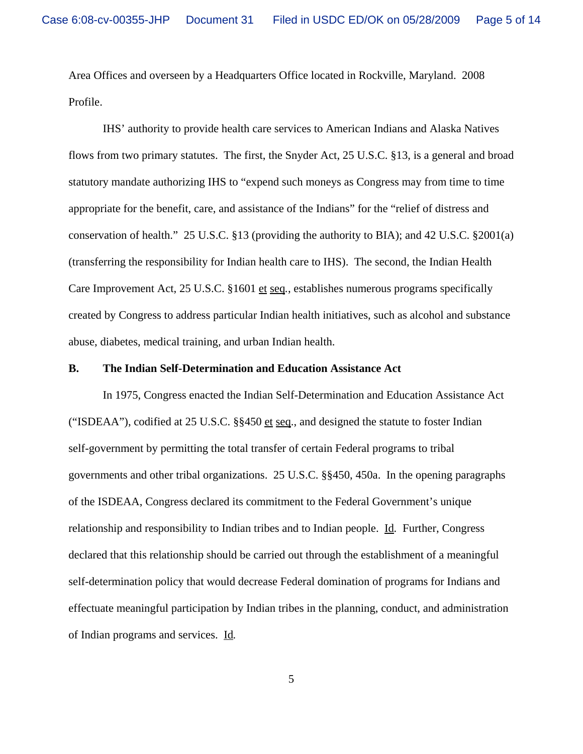Area Offices and overseen by a Headquarters Office located in Rockville, Maryland. 2008 Profile.

IHS' authority to provide health care services to American Indians and Alaska Natives flows from two primary statutes. The first, the Snyder Act, 25 U.S.C. §13, is a general and broad statutory mandate authorizing IHS to "expend such moneys as Congress may from time to time appropriate for the benefit, care, and assistance of the Indians" for the "relief of distress and conservation of health." 25 U.S.C. §13 (providing the authority to BIA); and 42 U.S.C. §2001(a) (transferring the responsibility for Indian health care to IHS). The second, the Indian Health Care Improvement Act, 25 U.S.C. §1601 et seq*.*, establishes numerous programs specifically created by Congress to address particular Indian health initiatives, such as alcohol and substance abuse, diabetes, medical training, and urban Indian health.

## **B. The Indian Self-Determination and Education Assistance Act**

In 1975, Congress enacted the Indian Self-Determination and Education Assistance Act ("ISDEAA"), codified at 25 U.S.C. §§450 et seq., and designed the statute to foster Indian self-government by permitting the total transfer of certain Federal programs to tribal governments and other tribal organizations. 25 U.S.C. §§450, 450a. In the opening paragraphs of the ISDEAA, Congress declared its commitment to the Federal Government's unique relationship and responsibility to Indian tribes and to Indian people. Id*.* Further, Congress declared that this relationship should be carried out through the establishment of a meaningful self-determination policy that would decrease Federal domination of programs for Indians and effectuate meaningful participation by Indian tribes in the planning, conduct, and administration of Indian programs and services. Id*.*

5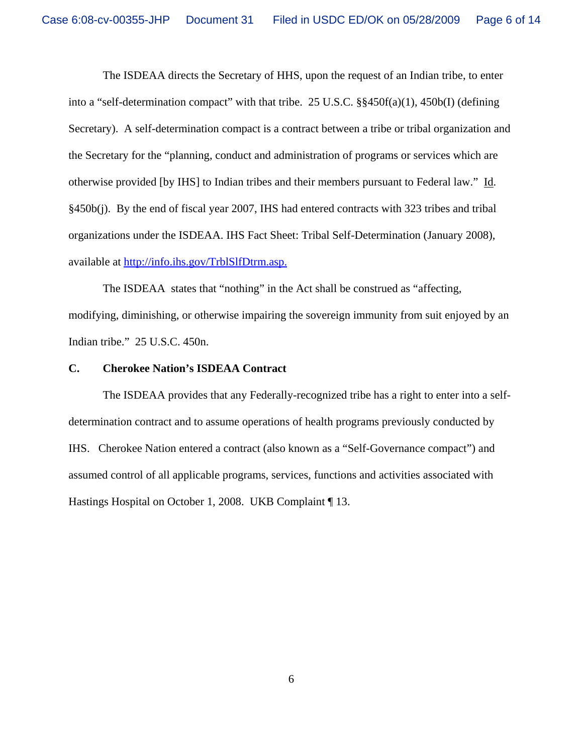The ISDEAA directs the Secretary of HHS, upon the request of an Indian tribe, to enter into a "self-determination compact" with that tribe. 25 U.S.C. §§450f(a)(1), 450b(I) (defining Secretary). A self-determination compact is a contract between a tribe or tribal organization and the Secretary for the "planning, conduct and administration of programs or services which are otherwise provided [by IHS] to Indian tribes and their members pursuant to Federal law." Id. §450b(j). By the end of fiscal year 2007, IHS had entered contracts with 323 tribes and tribal organizations under the ISDEAA. IHS Fact Sheet: Tribal Self-Determination (January 2008), available at http://info.ihs.gov/TrblSlfDtrm.asp.

The ISDEAA states that "nothing" in the Act shall be construed as "affecting, modifying, diminishing, or otherwise impairing the sovereign immunity from suit enjoyed by an Indian tribe." 25 U.S.C. 450n.

### **C. Cherokee Nation's ISDEAA Contract**

The ISDEAA provides that any Federally-recognized tribe has a right to enter into a selfdetermination contract and to assume operations of health programs previously conducted by IHS. Cherokee Nation entered a contract (also known as a "Self-Governance compact") and assumed control of all applicable programs, services, functions and activities associated with Hastings Hospital on October 1, 2008. UKB Complaint ¶ 13.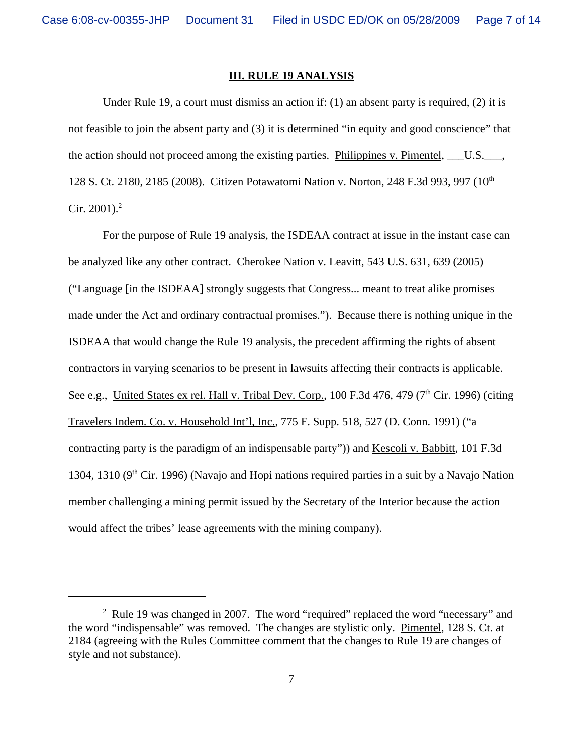#### **III. RULE 19 ANALYSIS**

Under Rule 19, a court must dismiss an action if:  $(1)$  an absent party is required,  $(2)$  it is not feasible to join the absent party and (3) it is determined "in equity and good conscience" that the action should not proceed among the existing parties. Philippines v. Pimentel, U.S. 128 S. Ct. 2180, 2185 (2008). Citizen Potawatomi Nation v. Norton, 248 F.3d 993, 997 (10<sup>th</sup>) Cir. 2001). $^{2}$ 

For the purpose of Rule 19 analysis, the ISDEAA contract at issue in the instant case can be analyzed like any other contract. Cherokee Nation v. Leavitt, 543 U.S. 631, 639 (2005) ("Language [in the ISDEAA] strongly suggests that Congress... meant to treat alike promises made under the Act and ordinary contractual promises."). Because there is nothing unique in the ISDEAA that would change the Rule 19 analysis, the precedent affirming the rights of absent contractors in varying scenarios to be present in lawsuits affecting their contracts is applicable. See e.g., United States ex rel. Hall v. Tribal Dev. Corp.,  $100$  F.3d 476, 479 ( $7<sup>th</sup>$  Cir. 1996) (citing Travelers Indem. Co. v. Household Int'l, Inc., 775 F. Supp. 518, 527 (D. Conn. 1991) ("a contracting party is the paradigm of an indispensable party")) and Kescoli v. Babbitt, 101 F.3d 1304, 1310 ( $9<sup>th</sup>$  Cir. 1996) (Navajo and Hopi nations required parties in a suit by a Navajo Nation member challenging a mining permit issued by the Secretary of the Interior because the action would affect the tribes' lease agreements with the mining company).

<sup>&</sup>lt;sup>2</sup> Rule 19 was changed in 2007. The word "required" replaced the word "necessary" and the word "indispensable" was removed. The changes are stylistic only. Pimentel, 128 S. Ct. at 2184 (agreeing with the Rules Committee comment that the changes to Rule 19 are changes of style and not substance).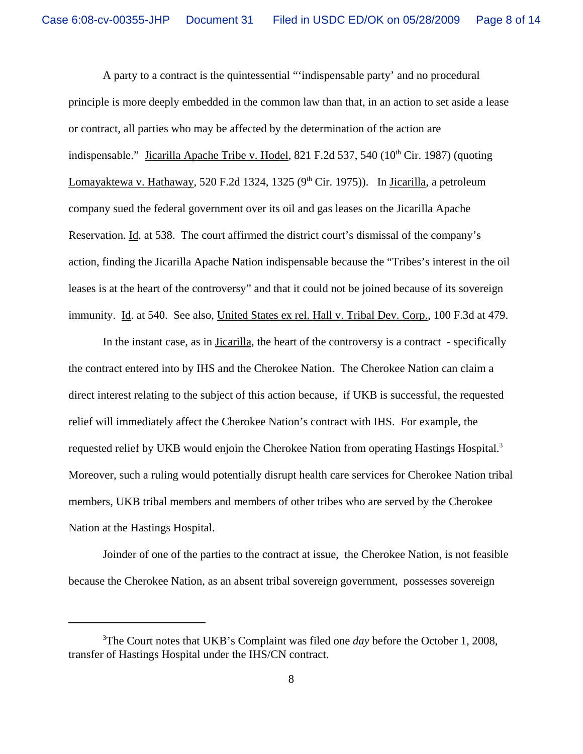A party to a contract is the quintessential "'indispensable party' and no procedural principle is more deeply embedded in the common law than that, in an action to set aside a lease or contract, all parties who may be affected by the determination of the action are indispensable." Jicarilla Apache Tribe v. Hodel, 821 F.2d 537, 540 ( $10<sup>th</sup>$  Cir. 1987) (quoting Lomayaktewa v. Hathaway, 520 F.2d 1324, 1325 ( $9<sup>th</sup>$  Cir. 1975)). In Jicarilla, a petroleum company sued the federal government over its oil and gas leases on the Jicarilla Apache Reservation. Id. at 538. The court affirmed the district court's dismissal of the company's action, finding the Jicarilla Apache Nation indispensable because the "Tribes's interest in the oil leases is at the heart of the controversy" and that it could not be joined because of its sovereign immunity. Id. at 540. See also, United States ex rel. Hall v. Tribal Dev. Corp., 100 F.3d at 479.

In the instant case, as in Jicarilla, the heart of the controversy is a contract - specifically the contract entered into by IHS and the Cherokee Nation. The Cherokee Nation can claim a direct interest relating to the subject of this action because, if UKB is successful, the requested relief will immediately affect the Cherokee Nation's contract with IHS. For example, the requested relief by UKB would enjoin the Cherokee Nation from operating Hastings Hospital.<sup>3</sup> Moreover, such a ruling would potentially disrupt health care services for Cherokee Nation tribal members, UKB tribal members and members of other tribes who are served by the Cherokee Nation at the Hastings Hospital.

Joinder of one of the parties to the contract at issue, the Cherokee Nation, is not feasible because the Cherokee Nation, as an absent tribal sovereign government, possesses sovereign

<sup>3</sup> The Court notes that UKB's Complaint was filed one *day* before the October 1, 2008, transfer of Hastings Hospital under the IHS/CN contract.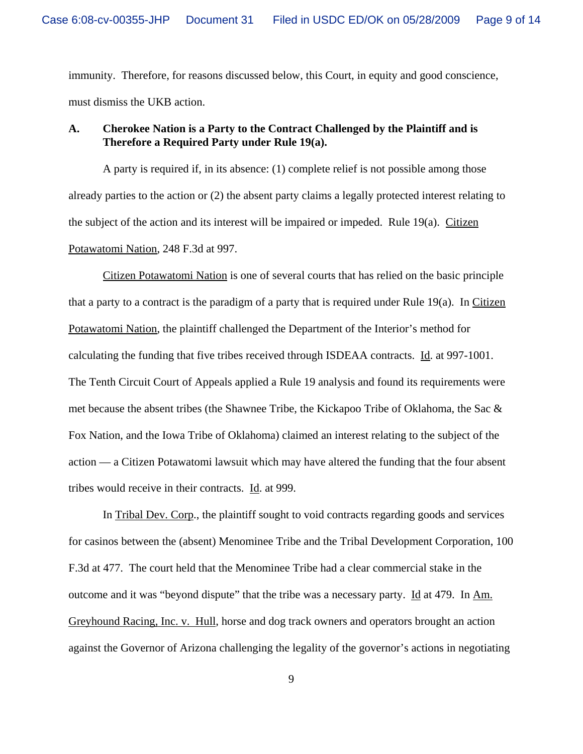immunity. Therefore, for reasons discussed below, this Court, in equity and good conscience, must dismiss the UKB action.

# **A. Cherokee Nation is a Party to the Contract Challenged by the Plaintiff and is Therefore a Required Party under Rule 19(a).**

A party is required if, in its absence: (1) complete relief is not possible among those already parties to the action or (2) the absent party claims a legally protected interest relating to the subject of the action and its interest will be impaired or impeded. Rule 19(a). Citizen Potawatomi Nation, 248 F.3d at 997.

Citizen Potawatomi Nation is one of several courts that has relied on the basic principle that a party to a contract is the paradigm of a party that is required under Rule 19(a). In Citizen Potawatomi Nation, the plaintiff challenged the Department of the Interior's method for calculating the funding that five tribes received through ISDEAA contracts. Id. at 997-1001. The Tenth Circuit Court of Appeals applied a Rule 19 analysis and found its requirements were met because the absent tribes (the Shawnee Tribe, the Kickapoo Tribe of Oklahoma, the Sac & Fox Nation, and the Iowa Tribe of Oklahoma) claimed an interest relating to the subject of the action — a Citizen Potawatomi lawsuit which may have altered the funding that the four absent tribes would receive in their contracts. Id. at 999.

In Tribal Dev. Corp., the plaintiff sought to void contracts regarding goods and services for casinos between the (absent) Menominee Tribe and the Tribal Development Corporation, 100 F.3d at 477. The court held that the Menominee Tribe had a clear commercial stake in the outcome and it was "beyond dispute" that the tribe was a necessary party. Id at 479. In Am. Greyhound Racing, Inc. v. Hull, horse and dog track owners and operators brought an action against the Governor of Arizona challenging the legality of the governor's actions in negotiating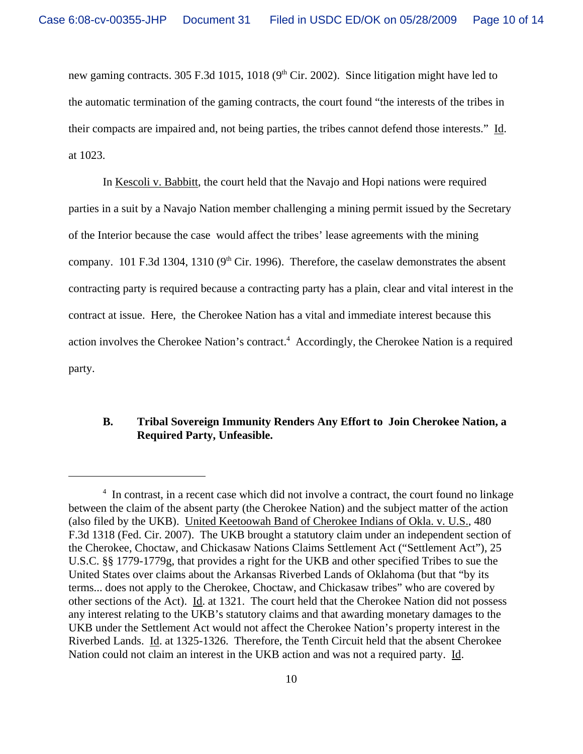new gaming contracts. 305 F.3d 1015, 1018 ( $9<sup>th</sup>$  Cir. 2002). Since litigation might have led to the automatic termination of the gaming contracts, the court found "the interests of the tribes in their compacts are impaired and, not being parties, the tribes cannot defend those interests." Id. at 1023.

In Kescoli v. Babbitt, the court held that the Navajo and Hopi nations were required parties in a suit by a Navajo Nation member challenging a mining permit issued by the Secretary of the Interior because the case would affect the tribes' lease agreements with the mining company. 101 F.3d 1304, 1310 ( $9<sup>th</sup>$  Cir. 1996). Therefore, the caselaw demonstrates the absent contracting party is required because a contracting party has a plain, clear and vital interest in the contract at issue. Here, the Cherokee Nation has a vital and immediate interest because this action involves the Cherokee Nation's contract.<sup>4</sup> Accordingly, the Cherokee Nation is a required party.

## **B. Tribal Sovereign Immunity Renders Any Effort to Join Cherokee Nation, a Required Party, Unfeasible.**

<sup>&</sup>lt;sup>4</sup> In contrast, in a recent case which did not involve a contract, the court found no linkage between the claim of the absent party (the Cherokee Nation) and the subject matter of the action (also filed by the UKB). United Keetoowah Band of Cherokee Indians of Okla. v. U.S., 480 F.3d 1318 (Fed. Cir. 2007). The UKB brought a statutory claim under an independent section of the Cherokee, Choctaw, and Chickasaw Nations Claims Settlement Act ("Settlement Act"), 25 U.S.C. §§ 1779-1779g, that provides a right for the UKB and other specified Tribes to sue the United States over claims about the Arkansas Riverbed Lands of Oklahoma (but that "by its terms... does not apply to the Cherokee, Choctaw, and Chickasaw tribes" who are covered by other sections of the Act). Id. at 1321. The court held that the Cherokee Nation did not possess any interest relating to the UKB's statutory claims and that awarding monetary damages to the UKB under the Settlement Act would not affect the Cherokee Nation's property interest in the Riverbed Lands. Id. at 1325-1326. Therefore, the Tenth Circuit held that the absent Cherokee Nation could not claim an interest in the UKB action and was not a required party. Id.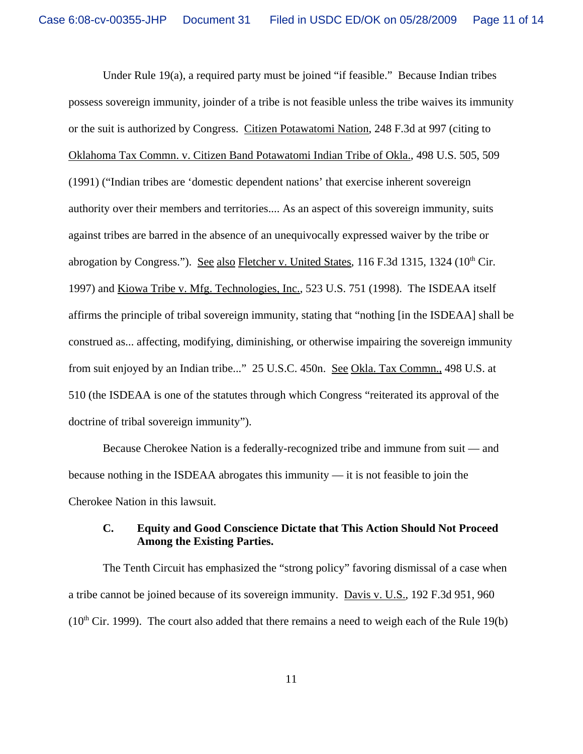Under Rule 19(a), a required party must be joined "if feasible." Because Indian tribes possess sovereign immunity, joinder of a tribe is not feasible unless the tribe waives its immunity or the suit is authorized by Congress. Citizen Potawatomi Nation, 248 F.3d at 997 (citing to Oklahoma Tax Commn. v. Citizen Band Potawatomi Indian Tribe of Okla., 498 U.S. 505, 509 (1991) ("Indian tribes are 'domestic dependent nations' that exercise inherent sovereign authority over their members and territories.... As an aspect of this sovereign immunity, suits against tribes are barred in the absence of an unequivocally expressed waiver by the tribe or abrogation by Congress."). See also Fletcher v. United States, 116 F.3d 1315, 1324 ( $10<sup>th</sup>$  Cir. 1997) and Kiowa Tribe v. Mfg. Technologies, Inc., 523 U.S. 751 (1998). The ISDEAA itself affirms the principle of tribal sovereign immunity, stating that "nothing [in the ISDEAA] shall be construed as... affecting, modifying, diminishing, or otherwise impairing the sovereign immunity from suit enjoyed by an Indian tribe..." 25 U.S.C. 450n. See Okla. Tax Commn., 498 U.S. at 510 (the ISDEAA is one of the statutes through which Congress "reiterated its approval of the doctrine of tribal sovereign immunity").

Because Cherokee Nation is a federally-recognized tribe and immune from suit — and because nothing in the ISDEAA abrogates this immunity — it is not feasible to join the Cherokee Nation in this lawsuit.

# **C. Equity and Good Conscience Dictate that This Action Should Not Proceed Among the Existing Parties.**

The Tenth Circuit has emphasized the "strong policy" favoring dismissal of a case when a tribe cannot be joined because of its sovereign immunity. Davis v. U.S., 192 F.3d 951, 960  $(10<sup>th</sup> Cir. 1999)$ . The court also added that there remains a need to weigh each of the Rule 19(b)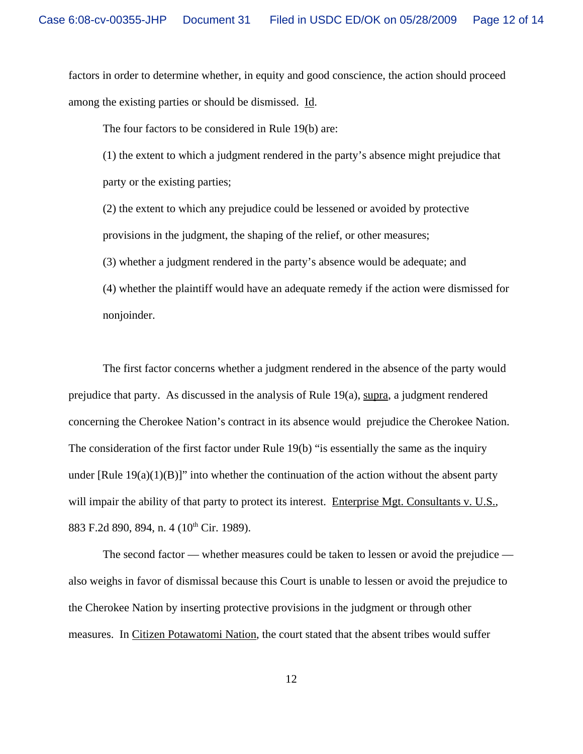factors in order to determine whether, in equity and good conscience, the action should proceed among the existing parties or should be dismissed. Id.

The four factors to be considered in Rule 19(b) are:

(1) the extent to which a judgment rendered in the party's absence might prejudice that party or the existing parties;

(2) the extent to which any prejudice could be lessened or avoided by protective provisions in the judgment, the shaping of the relief, or other measures;

(3) whether a judgment rendered in the party's absence would be adequate; and

(4) whether the plaintiff would have an adequate remedy if the action were dismissed for nonjoinder.

The first factor concerns whether a judgment rendered in the absence of the party would prejudice that party. As discussed in the analysis of Rule 19(a), supra, a judgment rendered concerning the Cherokee Nation's contract in its absence would prejudice the Cherokee Nation. The consideration of the first factor under Rule 19(b) "is essentially the same as the inquiry under [Rule  $19(a)(1)(B)$ ]" into whether the continuation of the action without the absent party will impair the ability of that party to protect its interest. Enterprise Mgt. Consultants v. U.S., 883 F.2d 890, 894, n. 4 (10<sup>th</sup> Cir. 1989).

The second factor — whether measures could be taken to lessen or avoid the prejudice also weighs in favor of dismissal because this Court is unable to lessen or avoid the prejudice to the Cherokee Nation by inserting protective provisions in the judgment or through other measures. In Citizen Potawatomi Nation, the court stated that the absent tribes would suffer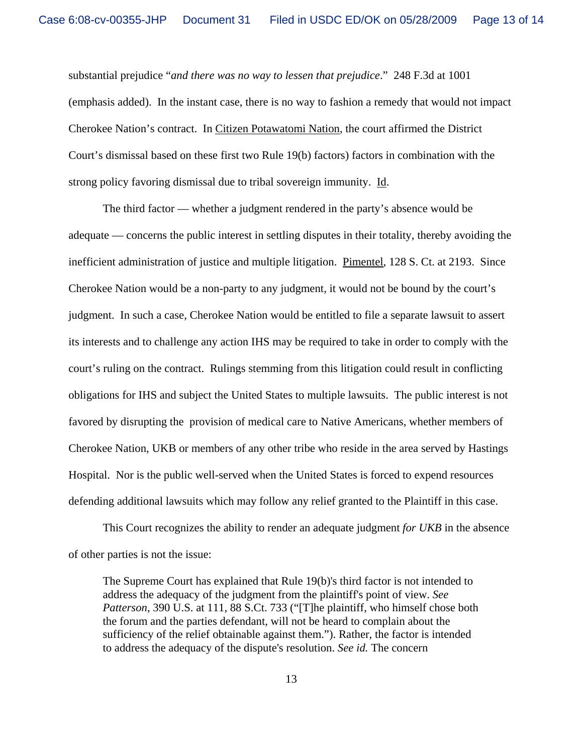substantial prejudice "*and there was no way to lessen that prejudice*." 248 F.3d at 1001 (emphasis added). In the instant case, there is no way to fashion a remedy that would not impact Cherokee Nation's contract. In Citizen Potawatomi Nation, the court affirmed the District Court's dismissal based on these first two Rule 19(b) factors) factors in combination with the strong policy favoring dismissal due to tribal sovereign immunity. Id.

The third factor — whether a judgment rendered in the party's absence would be adequate — concerns the public interest in settling disputes in their totality, thereby avoiding the inefficient administration of justice and multiple litigation. Pimentel, 128 S. Ct. at 2193. Since Cherokee Nation would be a non-party to any judgment, it would not be bound by the court's judgment. In such a case, Cherokee Nation would be entitled to file a separate lawsuit to assert its interests and to challenge any action IHS may be required to take in order to comply with the court's ruling on the contract. Rulings stemming from this litigation could result in conflicting obligations for IHS and subject the United States to multiple lawsuits. The public interest is not favored by disrupting the provision of medical care to Native Americans, whether members of Cherokee Nation, UKB or members of any other tribe who reside in the area served by Hastings Hospital. Nor is the public well-served when the United States is forced to expend resources defending additional lawsuits which may follow any relief granted to the Plaintiff in this case.

This Court recognizes the ability to render an adequate judgment *for UKB* in the absence of other parties is not the issue:

The Supreme Court has explained that Rule 19(b)'s third factor is not intended to address the adequacy of the judgment from the plaintiff's point of view. *See Patterson*, 390 U.S. at 111, 88 S.Ct. 733 ("[T]he plaintiff, who himself chose both the forum and the parties defendant, will not be heard to complain about the sufficiency of the relief obtainable against them."). Rather, the factor is intended to address the adequacy of the dispute's resolution. *See id.* The concern